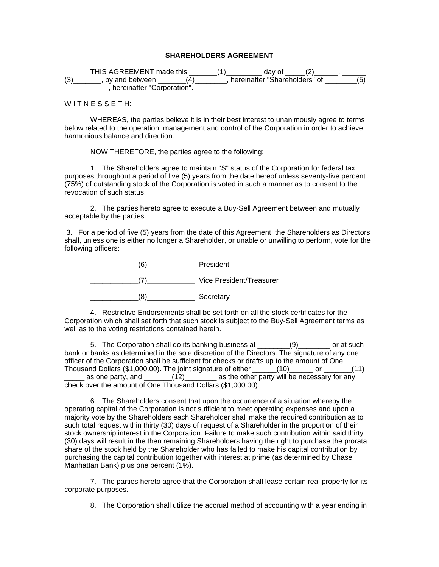## **SHAREHOLDERS AGREEMENT**

THIS AGREEMENT made this \_\_\_\_\_\_\_(1)\_\_\_\_\_\_\_\_\_ day of \_\_\_\_\_(2)\_\_\_\_\_\_\_, \_\_\_\_\_\_  $(3)$ \_\_\_\_\_\_\_, by and between \_\_\_\_\_\_\_\_(4)\_\_\_\_\_\_\_\_, hereinafter "Shareholders" of \_\_\_\_\_\_\_\_(5) **LECT**, hereinafter "Corporation".

WITNESSETH:

WHEREAS, the parties believe it is in their best interest to unanimously agree to terms below related to the operation, management and control of the Corporation in order to achieve harmonious balance and direction.

NOW THEREFORE, the parties agree to the following:

1. The Shareholders agree to maintain "S" status of the Corporation for federal tax purposes throughout a period of five (5) years from the date hereof unless seventy-five percent (75%) of outstanding stock of the Corporation is voted in such a manner as to consent to the revocation of such status.

2. The parties hereto agree to execute a Buy-Sell Agreement between and mutually acceptable by the parties.

 3. For a period of five (5) years from the date of this Agreement, the Shareholders as Directors shall, unless one is either no longer a Shareholder, or unable or unwilling to perform, vote for the following officers:



4. Restrictive Endorsements shall be set forth on all the stock certificates for the Corporation which shall set forth that such stock is subject to the Buy-Sell Agreement terms as well as to the voting restrictions contained herein.

5. The Corporation shall do its banking business at \_\_\_\_\_\_\_\_(9)\_\_\_\_\_\_\_\_ or at such bank or banks as determined in the sole discretion of the Directors. The signature of any one officer of the Corporation shall be sufficient for checks or drafts up to the amount of One Thousand Dollars (\$1,000.00). The joint signature of either \_\_\_\_\_\_(10)\_\_\_\_\_\_ or \_\_\_\_\_\_\_(11)  $\mu$  as one party, and  $\mu$  (12)  $\mu$  as the other party will be necessary for any check over the amount of One Thousand Dollars (\$1,000.00).

6. The Shareholders consent that upon the occurrence of a situation whereby the operating capital of the Corporation is not sufficient to meet operating expenses and upon a majority vote by the Shareholders each Shareholder shall make the required contribution as to such total request within thirty (30) days of request of a Shareholder in the proportion of their stock ownership interest in the Corporation. Failure to make such contribution within said thirty (30) days will result in the then remaining Shareholders having the right to purchase the prorata share of the stock held by the Shareholder who has failed to make his capital contribution by purchasing the capital contribution together with interest at prime (as determined by Chase Manhattan Bank) plus one percent (1%).

7. The parties hereto agree that the Corporation shall lease certain real property for its corporate purposes.

8. The Corporation shall utilize the accrual method of accounting with a year ending in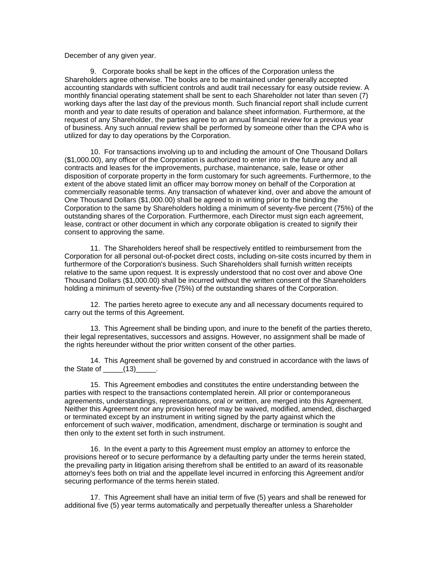## December of any given year.

9. Corporate books shall be kept in the offices of the Corporation unless the Shareholders agree otherwise. The books are to be maintained under generally accepted accounting standards with sufficient controls and audit trail necessary for easy outside review. A monthly financial operating statement shall be sent to each Shareholder not later than seven (7) working days after the last day of the previous month. Such financial report shall include current month and year to date results of operation and balance sheet information. Furthermore, at the request of any Shareholder, the parties agree to an annual financial review for a previous year of business. Any such annual review shall be performed by someone other than the CPA who is utilized for day to day operations by the Corporation.

10. For transactions involving up to and including the amount of One Thousand Dollars (\$1,000.00), any officer of the Corporation is authorized to enter into in the future any and all contracts and leases for the improvements, purchase, maintenance, sale, lease or other disposition of corporate property in the form customary for such agreements. Furthermore, to the extent of the above stated limit an officer may borrow money on behalf of the Corporation at commercially reasonable terms. Any transaction of whatever kind, over and above the amount of One Thousand Dollars (\$1,000.00) shall be agreed to in writing prior to the binding the Corporation to the same by Shareholders holding a minimum of seventy-five percent (75%) of the outstanding shares of the Corporation. Furthermore, each Director must sign each agreement, lease, contract or other document in which any corporate obligation is created to signify their consent to approving the same.

11. The Shareholders hereof shall be respectively entitled to reimbursement from the Corporation for all personal out-of-pocket direct costs, including on-site costs incurred by them in furthermore of the Corporation's business. Such Shareholders shall furnish written receipts relative to the same upon request. It is expressly understood that no cost over and above One Thousand Dollars (\$1,000.00) shall be incurred without the written consent of the Shareholders holding a minimum of seventy-five (75%) of the outstanding shares of the Corporation.

12. The parties hereto agree to execute any and all necessary documents required to carry out the terms of this Agreement.

13. This Agreement shall be binding upon, and inure to the benefit of the parties thereto, their legal representatives, successors and assigns. However, no assignment shall be made of the rights hereunder without the prior written consent of the other parties.

14. This Agreement shall be governed by and construed in accordance with the laws of the State of  $\qquad$  (13)

15. This Agreement embodies and constitutes the entire understanding between the parties with respect to the transactions contemplated herein. All prior or contemporaneous agreements, understandings, representations, oral or written, are merged into this Agreement. Neither this Agreement nor any provision hereof may be waived, modified, amended, discharged or terminated except by an instrument in writing signed by the party against which the enforcement of such waiver, modification, amendment, discharge or termination is sought and then only to the extent set forth in such instrument.

16. In the event a party to this Agreement must employ an attorney to enforce the provisions hereof or to secure performance by a defaulting party under the terms herein stated, the prevailing party in litigation arising therefrom shall be entitled to an award of its reasonable attorney's fees both on trial and the appellate level incurred in enforcing this Agreement and/or securing performance of the terms herein stated.

17. This Agreement shall have an initial term of five (5) years and shall be renewed for additional five (5) year terms automatically and perpetually thereafter unless a Shareholder